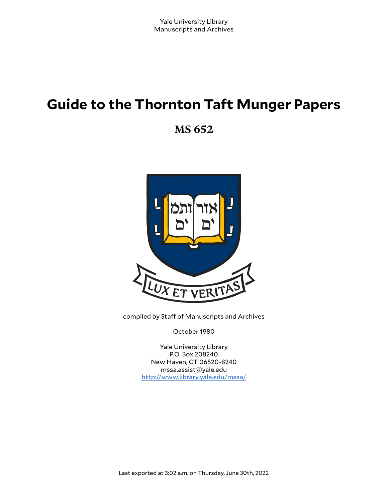# **Guide to the Thornton Taft Munger Papers**

**MS 652**



compiled by Staff of Manuscripts and Archives

October 1980

Yale University Library P.O. Box 208240 New Haven, CT 06520-8240 mssa.assist@yale.edu <http://www.library.yale.edu/mssa/>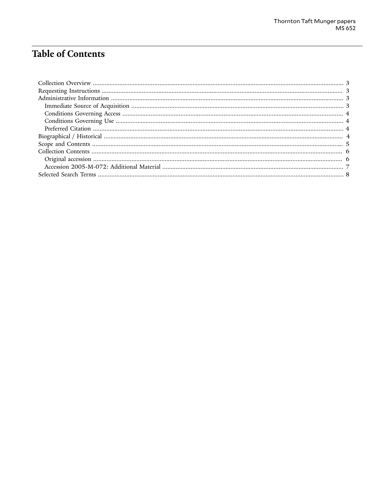# **Table of Contents**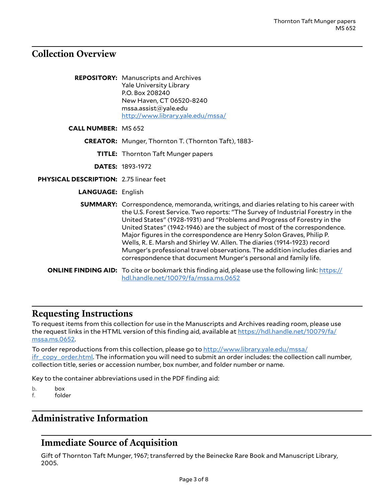### <span id="page-2-0"></span>**Collection Overview**

|                                        | <b>REPOSITORY:</b> Manuscripts and Archives<br><b>Yale University Library</b><br>P.O. Box 208240<br>New Haven, CT 06520-8240<br>msa. assist@yale.edu<br>http://www.library.yale.edu/mssa/                                                                                                                                                                                                                                                                                                                                                                                                                                                       |
|----------------------------------------|-------------------------------------------------------------------------------------------------------------------------------------------------------------------------------------------------------------------------------------------------------------------------------------------------------------------------------------------------------------------------------------------------------------------------------------------------------------------------------------------------------------------------------------------------------------------------------------------------------------------------------------------------|
| <b>CALL NUMBER: MS 652</b>             |                                                                                                                                                                                                                                                                                                                                                                                                                                                                                                                                                                                                                                                 |
|                                        | <b>CREATOR:</b> Munger, Thornton T. (Thornton Taft), 1883-                                                                                                                                                                                                                                                                                                                                                                                                                                                                                                                                                                                      |
|                                        | TITLE: Thornton Taft Munger papers                                                                                                                                                                                                                                                                                                                                                                                                                                                                                                                                                                                                              |
|                                        | <b>DATES: 1893-1972</b>                                                                                                                                                                                                                                                                                                                                                                                                                                                                                                                                                                                                                         |
| PHYSICAL DESCRIPTION: 2.75 linear feet |                                                                                                                                                                                                                                                                                                                                                                                                                                                                                                                                                                                                                                                 |
| <b>LANGUAGE: English</b>               |                                                                                                                                                                                                                                                                                                                                                                                                                                                                                                                                                                                                                                                 |
|                                        | <b>SUMMARY:</b> Correspondence, memoranda, writings, and diaries relating to his career with<br>the U.S. Forest Service. Two reports: "The Survey of Industrial Forestry in the<br>United States" (1928-1931) and "Problems and Progress of Forestry in the<br>United States" (1942-1946) are the subject of most of the correspondence.<br>Major figures in the correspondence are Henry Solon Graves, Philip P.<br>Wells, R. E. Marsh and Shirley W. Allen. The diaries (1914-1923) record<br>Munger's professional travel observations. The addition includes diaries and<br>correspondence that document Munger's personal and family life. |
|                                        | <b>ONLINE FINDING AID:</b> To cite or bookmark this finding aid, please use the following link: https://<br>hdl.handle.net/10079/fa/mssa.ms.0652                                                                                                                                                                                                                                                                                                                                                                                                                                                                                                |

### <span id="page-2-1"></span>**Requesting Instructions**

To request items from this collection for use in the Manuscripts and Archives reading room, please use the request links in the HTML version of this finding aid, available at [https://hdl.handle.net/10079/fa/](https://hdl.handle.net/10079/fa/mssa.ms.0652) [mssa.ms.0652.](https://hdl.handle.net/10079/fa/mssa.ms.0652)

To order reproductions from this collection, please go to [http://www.library.yale.edu/mssa/](http://www.library.yale.edu/mssa/ifr_copy_order.html) [ifr\\_copy\\_order.html.](http://www.library.yale.edu/mssa/ifr_copy_order.html) The information you will need to submit an order includes: the collection call number, collection title, series or accession number, box number, and folder number or name.

Key to the container abbreviations used in the PDF finding aid:

- b. box
- f. folder

### <span id="page-2-2"></span>**Administrative Information**

### <span id="page-2-3"></span>**Immediate Source of Acquisition**

Gift of Thornton Taft Munger, 1967; transferred by the Beinecke Rare Book and Manuscript Library, 2005.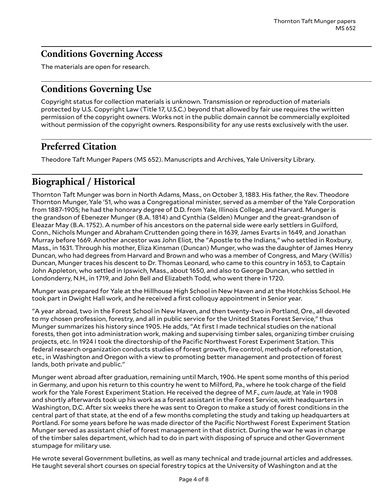### <span id="page-3-0"></span>**Conditions Governing Access**

The materials are open for research.

### <span id="page-3-1"></span>**Conditions Governing Use**

Copyright status for collection materials is unknown. Transmission or reproduction of materials protected by U.S. Copyright Law (Title 17, U.S.C.) beyond that allowed by fair use requires the written permission of the copyright owners. Works not in the public domain cannot be commercially exploited without permission of the copyright owners. Responsibility for any use rests exclusively with the user.

## <span id="page-3-2"></span>**Preferred Citation**

Theodore Taft Munger Papers (MS 652). Manuscripts and Archives, Yale University Library.

## <span id="page-3-3"></span>**Biographical / Historical**

Thornton Taft Munger was born in North Adams, Mass., on October 3, 1883. His father, the Rev. Theodore Thornton Munger, Yale '51, who was a Congregational minister, served as a member of the Yale Corporation from 1887-1905; he had the honorary degree of D.D. from Yale, Illinois College, and Harvard. Munger is the grandson of Ebenezer Munger (B.A. 1814) and Cynthia (Selden) Munger and the great-grandson of Eleazar May (B.A. 1752). A number of his ancestors on the paternal side were early settlers in Guilford, Conn., Nichols Munger and Abraham Cruttenden going there in 1639, James Evarts in 1649, and Jonathan Murray before 1669. Another ancestor was John Eliot, the "Apostle to the Indians," who settled in Roxbury, Mass., in 1631. Through his mother, Eliza Kinsman (Duncan) Munger, who was the daughter of James Henry Duncan, who had degrees from Harvard and Brown and who was a member of Congress, and Mary (Willis) Duncan, Munger traces his descent to Dr. Thomas Leonard, who came to this country in 1653, to Captain John Appleton, who settled in Ipswich, Mass., about 1650, and also to George Duncan, who settled in Londonderry, N.H., in 1719, and John Bell and Elizabeth Todd, who went there in 1720.

Munger was prepared for Yale at the Hillhouse High School in New Haven and at the Hotchkiss School. He took part in Dwight Hall work, and he received a first colloquy appointment in Senior year.

"A year abroad, two in the Forest School in New Haven, and then twenty-two in Portland, Ore., all devoted to my chosen profession, forestry, and all in public service for the United States Forest Service," thus Munger summarizes his history since 1905. He adds, "At first I made technical studies on the national forests, then got into administration work, making and supervising timber sales, organizing timber cruising projects, etc. In 1924 I took the directorship of the Pacific Northwest Forest Experiment Station. This federal research organization conducts studies of forest growth, fire control, methods of reforestation, etc., in Washington and Oregon with a view to promoting better management and protection of forest lands, both private and public."

Munger went abroad after graduation, remaining until March, 1906. He spent some months of this period in Germany, and upon his return to this country he went to Milford, Pa., where he took charge of the field work for the Yale Forest Experiment Station. He received the degree of M.F., *cum laude*, at Yale in 1908 and shortly afterwards took up his work as a forest assistant in the Forest Service, with headquarters in Washington, D.C. After six weeks there he was sent to Oregon to make a study of forest conditions in the central part of that state, at the end of a few months completing the study and taking up headquarters at Portland. For some years before he was made director of the Pacific Northwest Forest Experiment Station Munger served as assistant chief of forest management in that district. During the war he was in charge of the timber sales department, which had to do in part with disposing of spruce and other Government stumpage for military use.

He wrote several Government bulletins, as well as many technical and trade journal articles and addresses. He taught several short courses on special forestry topics at the University of Washington and at the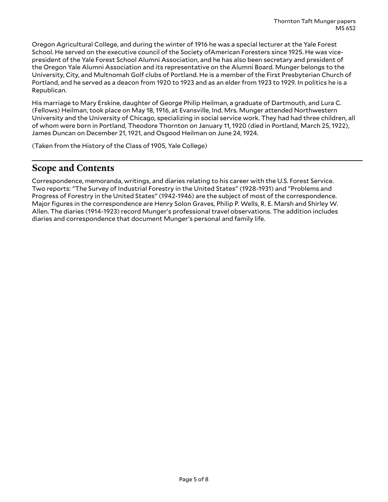Oregon Agricultural College, and during the winter of 1916 he was a special lecturer at the Yale Forest School. He served on the executive council of the Society ofAmerican Foresters since 1925. He was vicepresident of the Yale Forest School Alumni Association, and he has also been secretary and president of the Oregon Yale Alumni Association and its representative on the Alumni Board. Munger belongs to the University, City, and Multnomah Golf clubs of Portland. He is a member of the First Presbyterian Church of Portland, and he served as a deacon from 1920 to 1923 and as an elder from 1923 to 1929. In politics he is a Republican.

His marriage to Mary Erskine, daughter of George Philip Heilman, a graduate of Dartmouth, and Lura C. (Fellows) Heilman, took place on May 18, 1916, at Evansville, Ind. Mrs. Munger attended Northwestern University and the University of Chicago, specializing in social service work. They had had three children, all of whom were born in Portland, Theodore Thornton on January 11, 1920 (died in Portland, March 25, 1922), James Duncan on December 21, 1921, and Osgood Heilman on June 24, 1924.

(Taken from the History of the Class of 1905, Yale College)

### <span id="page-4-0"></span>**Scope and Contents**

Correspondence, memoranda, writings, and diaries relating to his career with the U.S. Forest Service. Two reports: "The Survey of Industrial Forestry in the United States" (1928-1931) and "Problems and Progress of Forestry in the United States" (1942-1946) are the subject of most of the correspondence. Major figures in the correspondence are Henry Solon Graves, Philip P. Wells, R. E. Marsh and Shirley W. Allen. The diaries (1914-1923) record Munger's professional travel observations. The addition includes diaries and correspondence that document Munger's personal and family life.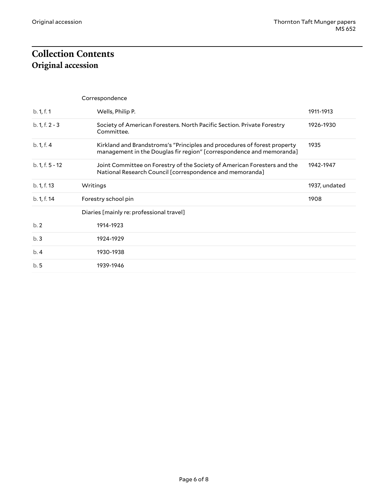# <span id="page-5-1"></span><span id="page-5-0"></span>**Collection Contents Original accession**

|                   | Correspondence                                                                                                                                   |               |
|-------------------|--------------------------------------------------------------------------------------------------------------------------------------------------|---------------|
| b. 1, f. 1        | Wells, Philip P.                                                                                                                                 | 1911-1913     |
| $b. 1, f. 2 - 3$  | Society of American Foresters. North Pacific Section. Private Forestry<br>Committee.                                                             | 1926-1930     |
| b. 1, f. 4        | Kirkland and Brandstroms's "Principles and procedures of forest property<br>management in the Douglas fir region" [correspondence and memoranda] | 1935          |
| $b. 1, f. 5 - 12$ | Joint Committee on Forestry of the Society of American Foresters and the<br>National Research Council [correspondence and memoranda]             | 1942-1947     |
| b. 1, f. 13       | Writings                                                                                                                                         | 1937, undated |
| b. 1, f. 14       | Forestry school pin                                                                                                                              | 1908          |
|                   | Diaries [mainly re: professional travel]                                                                                                         |               |
| b.2               | 1914-1923                                                                                                                                        |               |
| b.3               | 1924-1929                                                                                                                                        |               |
| b.4               | 1930-1938                                                                                                                                        |               |
| b.5               | 1939-1946                                                                                                                                        |               |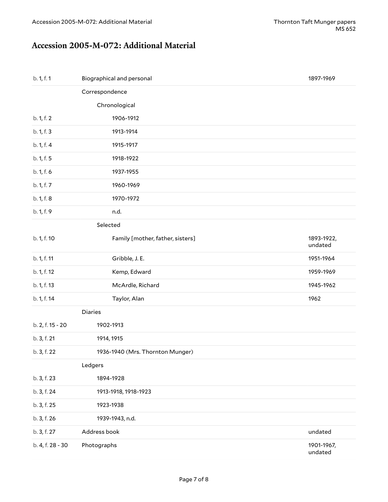#### <span id="page-6-0"></span>**Accession 2005-M-072: Additional Material**

| b. 1, f. 1       | Biographical and personal        | 1897-1969             |  |  |
|------------------|----------------------------------|-----------------------|--|--|
|                  | Correspondence                   |                       |  |  |
|                  | Chronological                    |                       |  |  |
| b. 1, f. 2       | 1906-1912                        |                       |  |  |
| b. 1, f. 3       | 1913-1914                        |                       |  |  |
| b. 1, f. 4       | 1915-1917                        |                       |  |  |
| b. 1, f. 5       | 1918-1922                        |                       |  |  |
| b. 1, f. 6       | 1937-1955                        |                       |  |  |
| b. 1, f. 7       | 1960-1969                        |                       |  |  |
| b. 1, f. 8       | 1970-1972                        |                       |  |  |
| b. 1, f. 9       | n.d.                             |                       |  |  |
|                  | Selected                         |                       |  |  |
| b. 1, f. 10      | Family [mother, father, sisters] | 1893-1922,<br>undated |  |  |
| b. 1, f. 11      | Gribble, J. E.                   | 1951-1964             |  |  |
| b. 1, f. 12      | Kemp, Edward                     | 1959-1969             |  |  |
| b. 1, f. 13      | McArdle, Richard                 | 1945-1962             |  |  |
| b. 1, f. 14      | Taylor, Alan                     | 1962                  |  |  |
| Diaries          |                                  |                       |  |  |
| b. 2, f. 15 - 20 | 1902-1913                        |                       |  |  |
| b. 3, f. 21      | 1914, 1915                       |                       |  |  |
| b. 3, f. 22      | 1936-1940 (Mrs. Thornton Munger) |                       |  |  |
|                  | Ledgers                          |                       |  |  |
| b. 3, f. 23      | 1894-1928                        |                       |  |  |
| b. 3, f. 24      | 1913-1918, 1918-1923             |                       |  |  |
| b. 3, f. 25      | 1923-1938                        |                       |  |  |
| b. 3, f. 26      | 1939-1943, n.d.                  |                       |  |  |
| b. 3, f. 27      | Address book                     | undated               |  |  |
| b. 4, f. 28 - 30 | Photographs                      | 1901-1967,<br>undated |  |  |